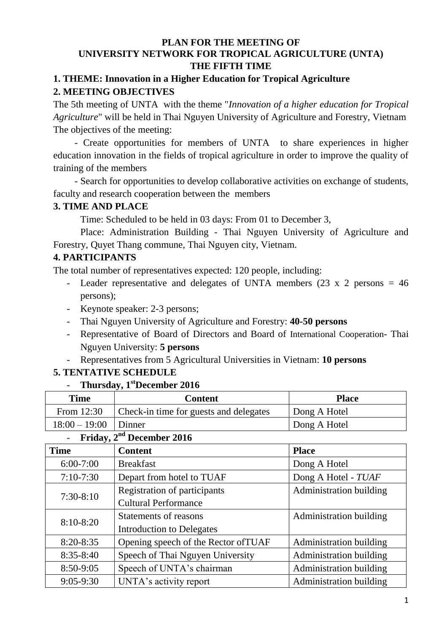### **PLAN FOR THE MEETING OF UNIVERSITY NETWORK FOR TROPICAL AGRICULTURE (UNTA) THE FIFTH TIME**

# **1. THEME: Innovation in a Higher Education for Tropical Agriculture 2. MEETING OBJECTIVES**

The 5th meeting of UNTA with the theme "*Innovation of a higher education for Tropical Agriculture*" will be held in Thai Nguyen University of Agriculture and Forestry, Vietnam The objectives of the meeting:

- Create opportunities for members of UNTA to share experiences in higher education innovation in the fields of tropical agriculture in order to improve the quality of training of the members

- Search for opportunities to develop collaborative activities on exchange of students, faculty and research cooperation between the members

### **3. TIME AND PLACE**

Time: Scheduled to be held in 03 days: From 01 to December 3,

Place: Administration Building - Thai Nguyen University of Agriculture and Forestry, Quyet Thang commune, Thai Nguyen city, Vietnam.

# **4. PARTICIPANTS**

The total number of representatives expected: 120 people, including:

- Leader representative and delegates of UNTA members (23 x 2 persons = 46 persons);
- Keynote speaker: 2-3 persons;
- Thai Nguyen University of Agriculture and Forestry: **40-50 persons**
- Representative of Board of Directors and Board of International Cooperation- Thai Nguyen University: **5 persons**
- Representatives from 5 Agricultural Universities in Vietnam: **10 persons**

# **5. TENTATIVE SCHEDULE**

- **Thursday, 1stDecember 2016**

| <b>Time</b>     | <b>Content</b>                         | <b>Place</b> |  |
|-----------------|----------------------------------------|--------------|--|
| From 12:30      | Check-in time for guests and delegates | Dong A Hotel |  |
| $18:00 - 19:00$ | Dinner                                 | Dong A Hotel |  |

# **Friday, 2<sup>nd</sup> December 2016**

| <b>Time</b><br><b>Content</b> |                                                                          | <b>Place</b>            |
|-------------------------------|--------------------------------------------------------------------------|-------------------------|
| $6:00-7:00$                   | <b>Breakfast</b>                                                         | Dong A Hotel            |
| $7:10-7:30$                   | Depart from hotel to TUAF                                                | Dong A Hotel - TUAF     |
| $7:30-8:10$                   | <b>Registration of participants</b><br><b>Cultural Performance</b>       | Administration building |
| $8:10-8:20$<br>$8:20 - 8:35$  | Statements of reasons                                                    | Administration building |
|                               | <b>Introduction to Delegates</b><br>Opening speech of the Rector of TUAF | Administration building |
| $8:35 - 8:40$                 | Speech of Thai Nguyen University                                         | Administration building |
| 8:50-9:05                     | Speech of UNTA's chairman                                                | Administration building |
| $9:05 - 9:30$                 | UNTA's activity report                                                   | Administration building |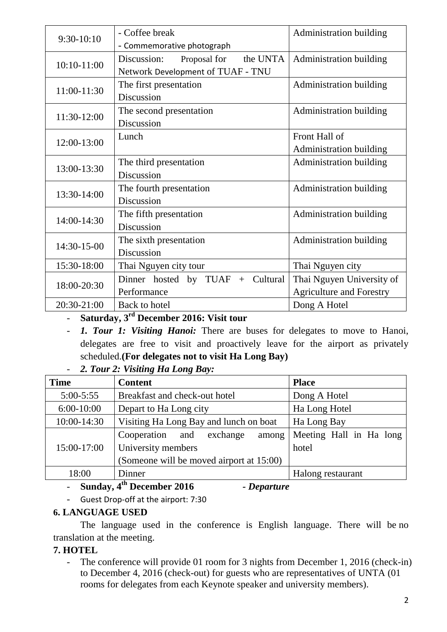| $9:30-10:10$ | - Coffee break<br>- Commemorative photograph                                 | Administration building                                      |  |  |
|--------------|------------------------------------------------------------------------------|--------------------------------------------------------------|--|--|
| 10:10-11:00  | the UNTA<br>Discussion:<br>Proposal for<br>Network Development of TUAF - TNU | Administration building                                      |  |  |
| 11:00-11:30  | The first presentation<br>Discussion                                         | Administration building                                      |  |  |
| 11:30-12:00  | The second presentation<br>Discussion                                        | Administration building                                      |  |  |
| 12:00-13:00  | Lunch                                                                        | Front Hall of<br><b>Administration building</b>              |  |  |
| 13:00-13:30  | The third presentation<br>Discussion                                         | Administration building                                      |  |  |
| 13:30-14:00  | The fourth presentation<br>Discussion                                        | Administration building                                      |  |  |
| 14:00-14:30  | The fifth presentation<br>Discussion                                         | Administration building                                      |  |  |
| 14:30-15-00  | The sixth presentation<br>Discussion                                         | Administration building                                      |  |  |
| 15:30-18:00  | Thai Nguyen city tour                                                        | Thai Nguyen city                                             |  |  |
| 18:00-20:30  | Dinner hosted by TUAF $+$ Cultural<br>Performance                            | Thai Nguyen University of<br><b>Agriculture and Forestry</b> |  |  |
| 20:30-21:00  | Back to hotel                                                                | Dong A Hotel                                                 |  |  |

- **Saturday, 3 rd December 2016: Visit tour**

- *1. Tour 1: Visiting Hanoi:* There are buses for delegates to move to Hanoi, delegates are free to visit and proactively leave for the airport as privately scheduled.**(For delegates not to visit Ha Long Bay)**

| ÷. |  | 2. Tour 2: Visiting Ha Long Bay: |  |  |
|----|--|----------------------------------|--|--|
|    |  |                                  |  |  |

| <b>Time</b>   | <b>Content</b>                           | <b>Place</b>            |  |  |
|---------------|------------------------------------------|-------------------------|--|--|
| $5:00 - 5:55$ | Breakfast and check-out hotel            | Dong A Hotel            |  |  |
| $6:00-10:00$  | Depart to Ha Long city                   | Ha Long Hotel           |  |  |
| 10:00-14:30   | Visiting Ha Long Bay and lunch on boat   | Ha Long Bay             |  |  |
|               | Cooperation and exchange<br>among        | Meeting Hall in Ha long |  |  |
| 15:00-17:00   | University members                       | hotel                   |  |  |
|               | (Someone will be moved airport at 15:00) |                         |  |  |
| 18:00         | Dinner                                   | Halong restaurant       |  |  |

### - **Sunday, 4th December 2016** *- Departure*

- Guest Drop-off at the airport: 7:30

### **6. LANGUAGE USED**

The language used in the conference is English language. There will be no translation at the meeting.

# **7. HOTEL**

- The conference will provide 01 room for 3 nights from December 1, 2016 (check-in) to December 4, 2016 (check-out) for guests who are representatives of UNTA (01 rooms for delegates from each Keynote speaker and university members).